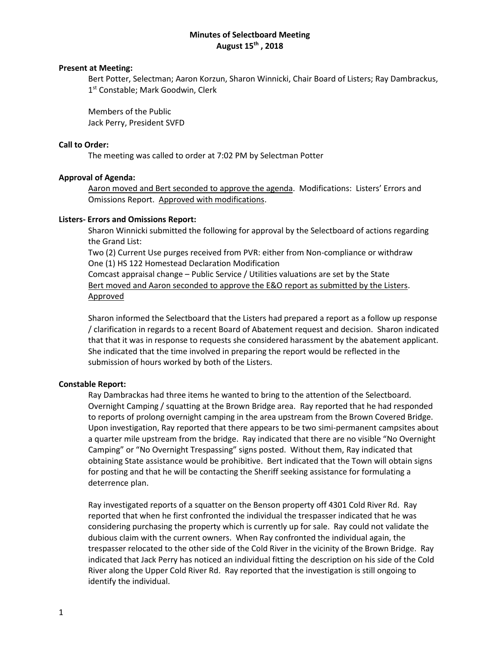# **Minutes of Selectboard Meeting August 15th , 2018**

### **Present at Meeting:**

Bert Potter, Selectman; Aaron Korzun, Sharon Winnicki, Chair Board of Listers; Ray Dambrackus, 1<sup>st</sup> Constable; Mark Goodwin, Clerk

Members of the Public Jack Perry, President SVFD

## **Call to Order:**

The meeting was called to order at 7:02 PM by Selectman Potter

## **Approval of Agenda:**

Aaron moved and Bert seconded to approve the agenda. Modifications: Listers' Errors and Omissions Report. Approved with modifications.

## **Listers- Errors and Omissions Report:**

Sharon Winnicki submitted the following for approval by the Selectboard of actions regarding the Grand List:

Two (2) Current Use purges received from PVR: either from Non-compliance or withdraw One (1) HS 122 Homestead Declaration Modification

Comcast appraisal change – Public Service / Utilities valuations are set by the State Bert moved and Aaron seconded to approve the E&O report as submitted by the Listers. Approved

Sharon informed the Selectboard that the Listers had prepared a report as a follow up response / clarification in regards to a recent Board of Abatement request and decision. Sharon indicated that that it was in response to requests she considered harassment by the abatement applicant. She indicated that the time involved in preparing the report would be reflected in the submission of hours worked by both of the Listers.

### **Constable Report:**

Ray Dambrackas had three items he wanted to bring to the attention of the Selectboard. Overnight Camping / squatting at the Brown Bridge area. Ray reported that he had responded to reports of prolong overnight camping in the area upstream from the Brown Covered Bridge. Upon investigation, Ray reported that there appears to be two simi-permanent campsites about a quarter mile upstream from the bridge. Ray indicated that there are no visible "No Overnight Camping" or "No Overnight Trespassing" signs posted. Without them, Ray indicated that obtaining State assistance would be prohibitive. Bert indicated that the Town will obtain signs for posting and that he will be contacting the Sheriff seeking assistance for formulating a deterrence plan.

Ray investigated reports of a squatter on the Benson property off 4301 Cold River Rd. Ray reported that when he first confronted the individual the trespasser indicated that he was considering purchasing the property which is currently up for sale. Ray could not validate the dubious claim with the current owners. When Ray confronted the individual again, the trespasser relocated to the other side of the Cold River in the vicinity of the Brown Bridge. Ray indicated that Jack Perry has noticed an individual fitting the description on his side of the Cold River along the Upper Cold River Rd. Ray reported that the investigation is still ongoing to identify the individual.